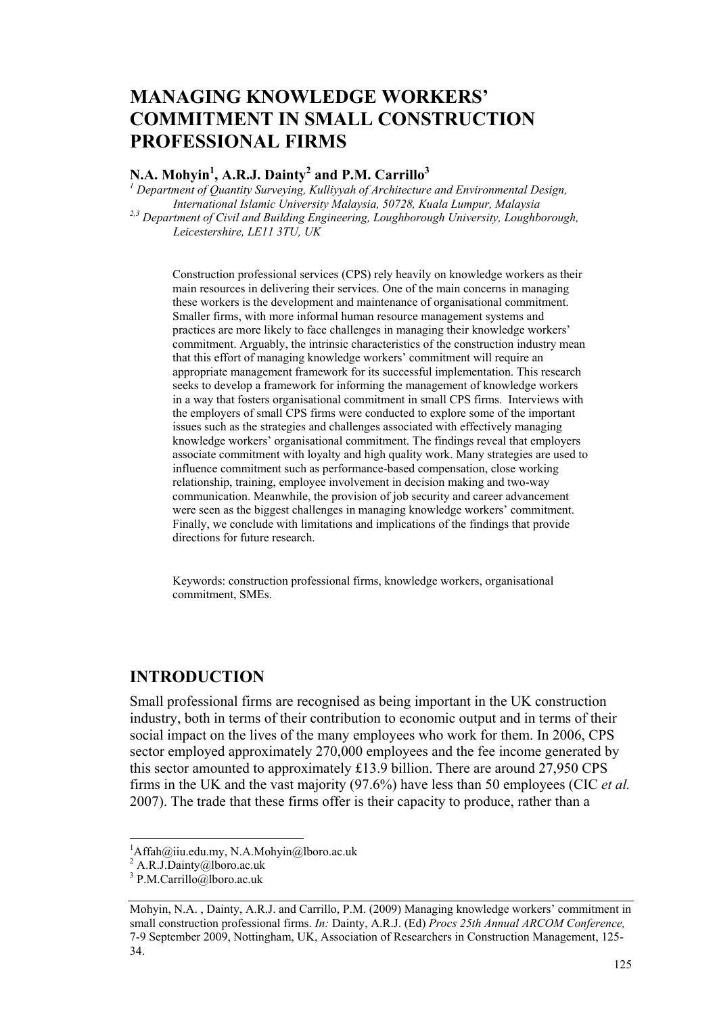# **MANAGING KNOWLEDGE WORKERS' COMMITMENT IN SMALL CONSTRUCTION PROFESSIONAL FIRMS**

### **N.A. Mohyin1 , A.R.J. Dainty2 and P.M. Carrillo<sup>3</sup>**

<sup>1</sup> Department of Quantity Surveying, Kulliyyah of Architecture and Environmental Design, *International Islamic University Malaysia, 50728, Kuala Lumpur, Malaysia 2,3 Department of Civil and Building Engineering, Loughborough University, Loughborough, Leicestershire, LE11 3TU, UK* 

Construction professional services (CPS) rely heavily on knowledge workers as their main resources in delivering their services. One of the main concerns in managing these workers is the development and maintenance of organisational commitment. Smaller firms, with more informal human resource management systems and practices are more likely to face challenges in managing their knowledge workers' commitment. Arguably, the intrinsic characteristics of the construction industry mean that this effort of managing knowledge workers' commitment will require an appropriate management framework for its successful implementation. This research seeks to develop a framework for informing the management of knowledge workers in a way that fosters organisational commitment in small CPS firms. Interviews with the employers of small CPS firms were conducted to explore some of the important issues such as the strategies and challenges associated with effectively managing knowledge workers' organisational commitment. The findings reveal that employers associate commitment with loyalty and high quality work. Many strategies are used to influence commitment such as performance-based compensation, close working relationship, training, employee involvement in decision making and two-way communication. Meanwhile, the provision of job security and career advancement were seen as the biggest challenges in managing knowledge workers' commitment. Finally, we conclude with limitations and implications of the findings that provide directions for future research.

Keywords: construction professional firms, knowledge workers, organisational commitment, SMEs.

### **INTRODUCTION**

Small professional firms are recognised as being important in the UK construction industry, both in terms of their contribution to economic output and in terms of their social impact on the lives of the many employees who work for them. In 2006, CPS sector employed approximately 270,000 employees and the fee income generated by this sector amounted to approximately £13.9 billion. There are around 27,950 CPS firms in the UK and the vast majority (97.6%) have less than 50 employees (CIC *et al.* 2007). The trade that these firms offer is their capacity to produce, rather than a

l

 ${}^{1}$ Affah@iiu.edu.my, N.A.Mohyin@lboro.ac.uk

 $^{2}$  A.R.J.Dainty@lboro.ac.uk

<sup>3</sup> P.M.Carrillo@lboro.ac.uk

Mohyin, N.A. , Dainty, A.R.J. and Carrillo, P.M. (2009) Managing knowledge workers' commitment in small construction professional firms. *In:* Dainty, A.R.J. (Ed) *Procs 25th Annual ARCOM Conference,* 7-9 September 2009, Nottingham, UK, Association of Researchers in Construction Management, 125- 34.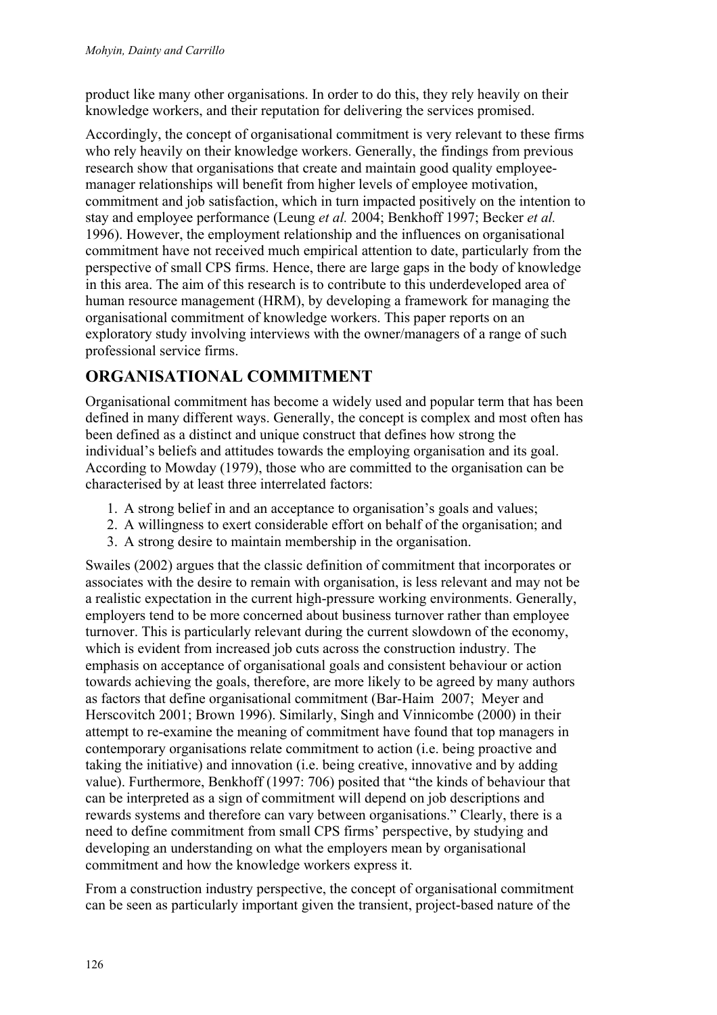product like many other organisations. In order to do this, they rely heavily on their knowledge workers, and their reputation for delivering the services promised.

Accordingly, the concept of organisational commitment is very relevant to these firms who rely heavily on their knowledge workers. Generally, the findings from previous research show that organisations that create and maintain good quality employeemanager relationships will benefit from higher levels of employee motivation, commitment and job satisfaction, which in turn impacted positively on the intention to stay and employee performance (Leung *et al.* 2004; Benkhoff 1997; Becker *et al.* 1996). However, the employment relationship and the influences on organisational commitment have not received much empirical attention to date, particularly from the perspective of small CPS firms. Hence, there are large gaps in the body of knowledge in this area. The aim of this research is to contribute to this underdeveloped area of human resource management (HRM), by developing a framework for managing the organisational commitment of knowledge workers. This paper reports on an exploratory study involving interviews with the owner/managers of a range of such professional service firms.

# **ORGANISATIONAL COMMITMENT**

Organisational commitment has become a widely used and popular term that has been defined in many different ways. Generally, the concept is complex and most often has been defined as a distinct and unique construct that defines how strong the individual's beliefs and attitudes towards the employing organisation and its goal. According to Mowday (1979), those who are committed to the organisation can be characterised by at least three interrelated factors:

- 1. A strong belief in and an acceptance to organisation's goals and values;
- 2. A willingness to exert considerable effort on behalf of the organisation; and
- 3. A strong desire to maintain membership in the organisation.

Swailes (2002) argues that the classic definition of commitment that incorporates or associates with the desire to remain with organisation, is less relevant and may not be a realistic expectation in the current high-pressure working environments. Generally, employers tend to be more concerned about business turnover rather than employee turnover. This is particularly relevant during the current slowdown of the economy, which is evident from increased job cuts across the construction industry. The emphasis on acceptance of organisational goals and consistent behaviour or action towards achieving the goals, therefore, are more likely to be agreed by many authors as factors that define organisational commitment (Bar-Haim 2007; Meyer and Herscovitch 2001; Brown 1996). Similarly, Singh and Vinnicombe (2000) in their attempt to re-examine the meaning of commitment have found that top managers in contemporary organisations relate commitment to action (i.e. being proactive and taking the initiative) and innovation (i.e. being creative, innovative and by adding value). Furthermore, Benkhoff (1997: 706) posited that "the kinds of behaviour that can be interpreted as a sign of commitment will depend on job descriptions and rewards systems and therefore can vary between organisations." Clearly, there is a need to define commitment from small CPS firms' perspective, by studying and developing an understanding on what the employers mean by organisational commitment and how the knowledge workers express it.

From a construction industry perspective, the concept of organisational commitment can be seen as particularly important given the transient, project-based nature of the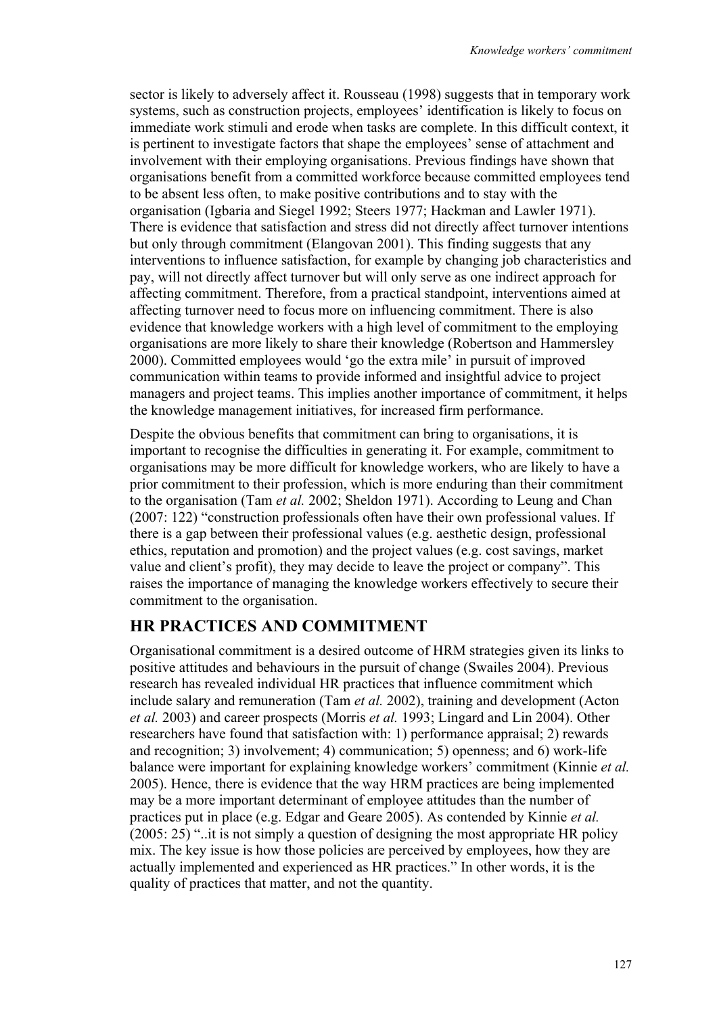sector is likely to adversely affect it. Rousseau (1998) suggests that in temporary work systems, such as construction projects, employees' identification is likely to focus on immediate work stimuli and erode when tasks are complete. In this difficult context, it is pertinent to investigate factors that shape the employees' sense of attachment and involvement with their employing organisations. Previous findings have shown that organisations benefit from a committed workforce because committed employees tend to be absent less often, to make positive contributions and to stay with the organisation (Igbaria and Siegel 1992; Steers 1977; Hackman and Lawler 1971). There is evidence that satisfaction and stress did not directly affect turnover intentions but only through commitment (Elangovan 2001). This finding suggests that any interventions to influence satisfaction, for example by changing job characteristics and pay, will not directly affect turnover but will only serve as one indirect approach for affecting commitment. Therefore, from a practical standpoint, interventions aimed at affecting turnover need to focus more on influencing commitment. There is also evidence that knowledge workers with a high level of commitment to the employing organisations are more likely to share their knowledge (Robertson and Hammersley 2000). Committed employees would 'go the extra mile' in pursuit of improved communication within teams to provide informed and insightful advice to project managers and project teams. This implies another importance of commitment, it helps the knowledge management initiatives, for increased firm performance.

Despite the obvious benefits that commitment can bring to organisations, it is important to recognise the difficulties in generating it. For example, commitment to organisations may be more difficult for knowledge workers, who are likely to have a prior commitment to their profession, which is more enduring than their commitment to the organisation (Tam *et al.* 2002; Sheldon 1971). According to Leung and Chan (2007: 122) "construction professionals often have their own professional values. If there is a gap between their professional values (e.g. aesthetic design, professional ethics, reputation and promotion) and the project values (e.g. cost savings, market value and client's profit), they may decide to leave the project or company". This raises the importance of managing the knowledge workers effectively to secure their commitment to the organisation.

### **HR PRACTICES AND COMMITMENT**

Organisational commitment is a desired outcome of HRM strategies given its links to positive attitudes and behaviours in the pursuit of change (Swailes 2004). Previous research has revealed individual HR practices that influence commitment which include salary and remuneration (Tam *et al.* 2002), training and development (Acton *et al.* 2003) and career prospects (Morris *et al.* 1993; Lingard and Lin 2004). Other researchers have found that satisfaction with: 1) performance appraisal; 2) rewards and recognition; 3) involvement; 4) communication; 5) openness; and 6) work-life balance were important for explaining knowledge workers' commitment (Kinnie *et al.* 2005). Hence, there is evidence that the way HRM practices are being implemented may be a more important determinant of employee attitudes than the number of practices put in place (e.g. Edgar and Geare 2005). As contended by Kinnie *et al.* (2005: 25) "..it is not simply a question of designing the most appropriate HR policy mix. The key issue is how those policies are perceived by employees, how they are actually implemented and experienced as HR practices." In other words, it is the quality of practices that matter, and not the quantity.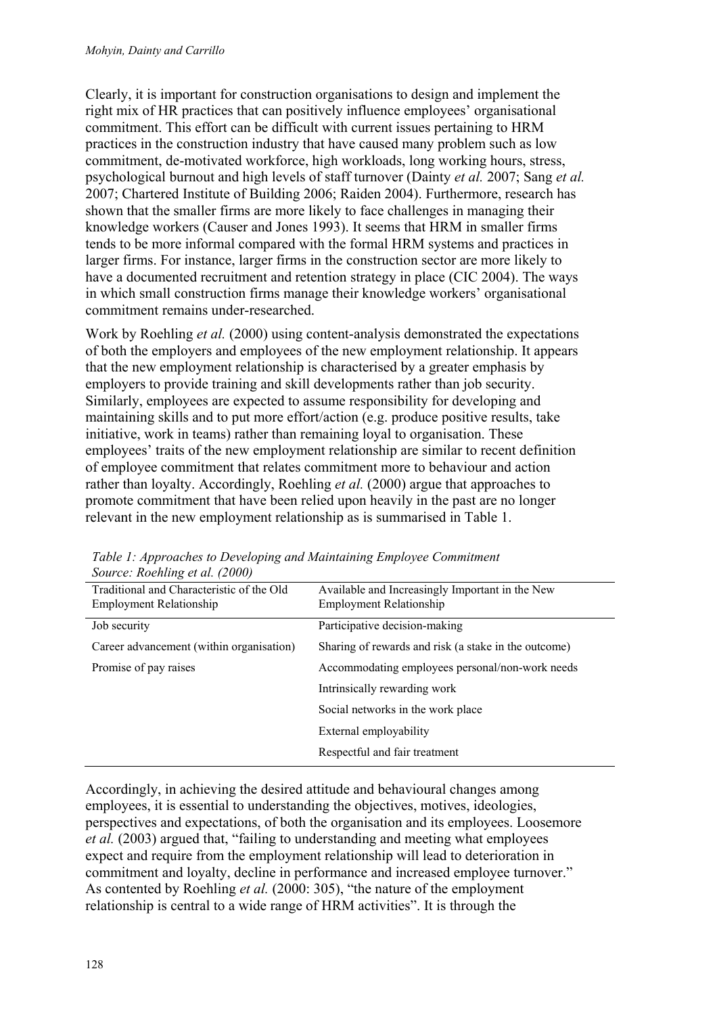Clearly, it is important for construction organisations to design and implement the right mix of HR practices that can positively influence employees' organisational commitment. This effort can be difficult with current issues pertaining to HRM practices in the construction industry that have caused many problem such as low commitment, de-motivated workforce, high workloads, long working hours, stress, psychological burnout and high levels of staff turnover (Dainty *et al.* 2007; Sang *et al.* 2007; Chartered Institute of Building 2006; Raiden 2004). Furthermore, research has shown that the smaller firms are more likely to face challenges in managing their knowledge workers (Causer and Jones 1993). It seems that HRM in smaller firms tends to be more informal compared with the formal HRM systems and practices in larger firms. For instance, larger firms in the construction sector are more likely to have a documented recruitment and retention strategy in place (CIC 2004). The ways in which small construction firms manage their knowledge workers' organisational commitment remains under-researched.

Work by Roehling *et al.* (2000) using content-analysis demonstrated the expectations of both the employers and employees of the new employment relationship. It appears that the new employment relationship is characterised by a greater emphasis by employers to provide training and skill developments rather than job security. Similarly, employees are expected to assume responsibility for developing and maintaining skills and to put more effort/action (e.g. produce positive results, take initiative, work in teams) rather than remaining loyal to organisation. These employees' traits of the new employment relationship are similar to recent definition of employee commitment that relates commitment more to behaviour and action rather than loyalty. Accordingly, Roehling *et al.* (2000) argue that approaches to promote commitment that have been relied upon heavily in the past are no longer relevant in the new employment relationship as is summarised in Table 1.

| $300$ cc. Rothing that $2000$             |                                                      |
|-------------------------------------------|------------------------------------------------------|
| Traditional and Characteristic of the Old | Available and Increasingly Important in the New      |
| <b>Employment Relationship</b>            | <b>Employment Relationship</b>                       |
| Job security                              | Participative decision-making                        |
| Career advancement (within organisation)  | Sharing of rewards and risk (a stake in the outcome) |
| Promise of pay raises                     | Accommodating employees personal/non-work needs      |
|                                           | Intrinsically rewarding work                         |
|                                           | Social networks in the work place                    |
|                                           | External employability                               |
|                                           | Respectful and fair treatment                        |
|                                           |                                                      |

*Table 1: Approaches to Developing and Maintaining Employee Commitment Source: Roehling et al. (2000)*

Accordingly, in achieving the desired attitude and behavioural changes among employees, it is essential to understanding the objectives, motives, ideologies, perspectives and expectations, of both the organisation and its employees. Loosemore *et al.* (2003) argued that, "failing to understanding and meeting what employees expect and require from the employment relationship will lead to deterioration in commitment and loyalty, decline in performance and increased employee turnover." As contented by Roehling *et al.* (2000: 305), "the nature of the employment relationship is central to a wide range of HRM activities". It is through the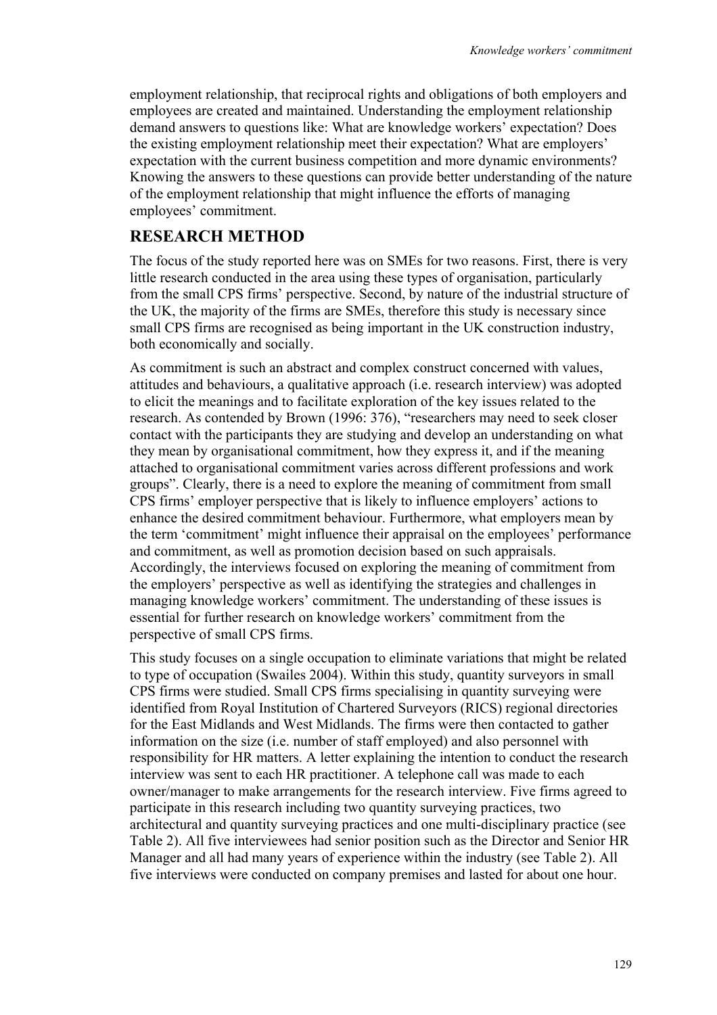employment relationship, that reciprocal rights and obligations of both employers and employees are created and maintained. Understanding the employment relationship demand answers to questions like: What are knowledge workers' expectation? Does the existing employment relationship meet their expectation? What are employers' expectation with the current business competition and more dynamic environments? Knowing the answers to these questions can provide better understanding of the nature of the employment relationship that might influence the efforts of managing employees' commitment.

## **RESEARCH METHOD**

The focus of the study reported here was on SMEs for two reasons. First, there is very little research conducted in the area using these types of organisation, particularly from the small CPS firms' perspective. Second, by nature of the industrial structure of the UK, the majority of the firms are SMEs, therefore this study is necessary since small CPS firms are recognised as being important in the UK construction industry, both economically and socially.

As commitment is such an abstract and complex construct concerned with values, attitudes and behaviours, a qualitative approach (i.e. research interview) was adopted to elicit the meanings and to facilitate exploration of the key issues related to the research. As contended by Brown (1996: 376), "researchers may need to seek closer contact with the participants they are studying and develop an understanding on what they mean by organisational commitment, how they express it, and if the meaning attached to organisational commitment varies across different professions and work groups". Clearly, there is a need to explore the meaning of commitment from small CPS firms' employer perspective that is likely to influence employers' actions to enhance the desired commitment behaviour. Furthermore, what employers mean by the term 'commitment' might influence their appraisal on the employees' performance and commitment, as well as promotion decision based on such appraisals. Accordingly, the interviews focused on exploring the meaning of commitment from the employers' perspective as well as identifying the strategies and challenges in managing knowledge workers' commitment. The understanding of these issues is essential for further research on knowledge workers' commitment from the perspective of small CPS firms.

This study focuses on a single occupation to eliminate variations that might be related to type of occupation (Swailes 2004). Within this study, quantity surveyors in small CPS firms were studied. Small CPS firms specialising in quantity surveying were identified from Royal Institution of Chartered Surveyors (RICS) regional directories for the East Midlands and West Midlands. The firms were then contacted to gather information on the size (i.e. number of staff employed) and also personnel with responsibility for HR matters. A letter explaining the intention to conduct the research interview was sent to each HR practitioner. A telephone call was made to each owner/manager to make arrangements for the research interview. Five firms agreed to participate in this research including two quantity surveying practices, two architectural and quantity surveying practices and one multi-disciplinary practice (see Table 2). All five interviewees had senior position such as the Director and Senior HR Manager and all had many years of experience within the industry (see Table 2). All five interviews were conducted on company premises and lasted for about one hour.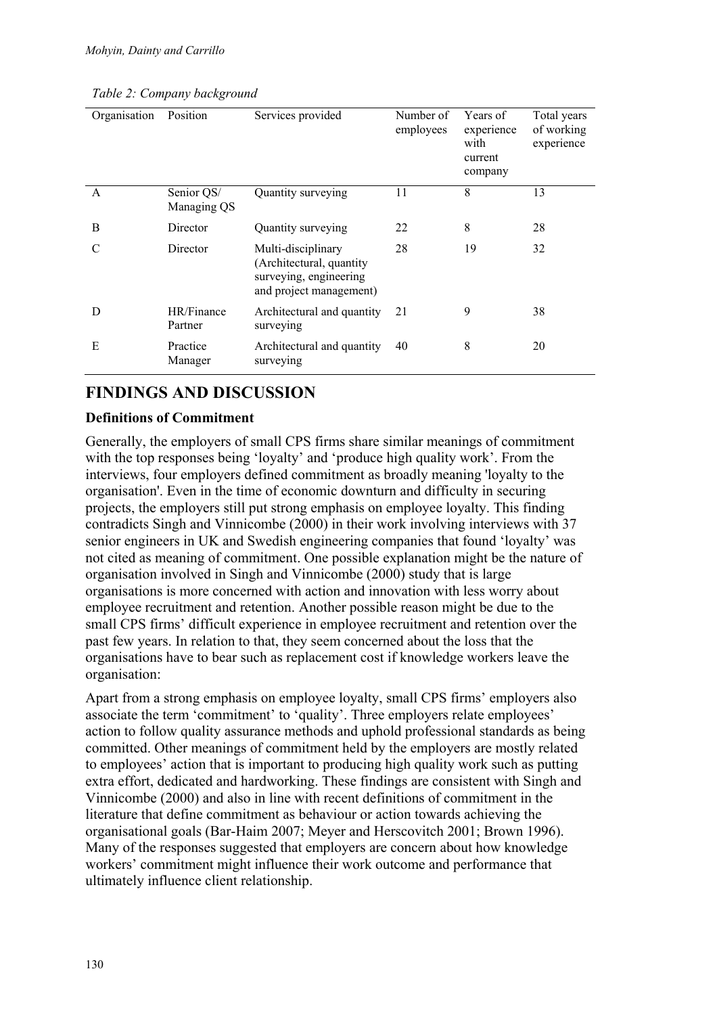*Table 2: Company background* 

| Organisation | Position                  | Services provided                                                                                   | Number of<br>employees | Years of<br>experience<br>with<br>current<br>company | Total years<br>of working<br>experience |
|--------------|---------------------------|-----------------------------------------------------------------------------------------------------|------------------------|------------------------------------------------------|-----------------------------------------|
| A            | Senior QS/<br>Managing QS | Quantity surveying                                                                                  | 11                     | 8                                                    | 13                                      |
| B            | Director                  | Quantity surveying                                                                                  | 22                     | 8                                                    | 28                                      |
| C            | Director                  | Multi-disciplinary<br>(Architectural, quantity<br>surveying, engineering<br>and project management) | 28                     | 19                                                   | 32                                      |
| D            | HR/Finance<br>Partner     | Architectural and quantity<br>surveying                                                             | 21                     | 9                                                    | 38                                      |
| E            | Practice<br>Manager       | Architectural and quantity<br>surveying                                                             | 40                     | 8                                                    | 20                                      |

## **FINDINGS AND DISCUSSION**

#### **Definitions of Commitment**

Generally, the employers of small CPS firms share similar meanings of commitment with the top responses being 'loyalty' and 'produce high quality work'. From the interviews, four employers defined commitment as broadly meaning 'loyalty to the organisation'. Even in the time of economic downturn and difficulty in securing projects, the employers still put strong emphasis on employee loyalty. This finding contradicts Singh and Vinnicombe (2000) in their work involving interviews with 37 senior engineers in UK and Swedish engineering companies that found 'loyalty' was not cited as meaning of commitment. One possible explanation might be the nature of organisation involved in Singh and Vinnicombe (2000) study that is large organisations is more concerned with action and innovation with less worry about employee recruitment and retention. Another possible reason might be due to the small CPS firms' difficult experience in employee recruitment and retention over the past few years. In relation to that, they seem concerned about the loss that the organisations have to bear such as replacement cost if knowledge workers leave the organisation:

Apart from a strong emphasis on employee loyalty, small CPS firms' employers also associate the term 'commitment' to 'quality'. Three employers relate employees' action to follow quality assurance methods and uphold professional standards as being committed. Other meanings of commitment held by the employers are mostly related to employees' action that is important to producing high quality work such as putting extra effort, dedicated and hardworking. These findings are consistent with Singh and Vinnicombe (2000) and also in line with recent definitions of commitment in the literature that define commitment as behaviour or action towards achieving the organisational goals (Bar-Haim 2007; Meyer and Herscovitch 2001; Brown 1996). Many of the responses suggested that employers are concern about how knowledge workers' commitment might influence their work outcome and performance that ultimately influence client relationship.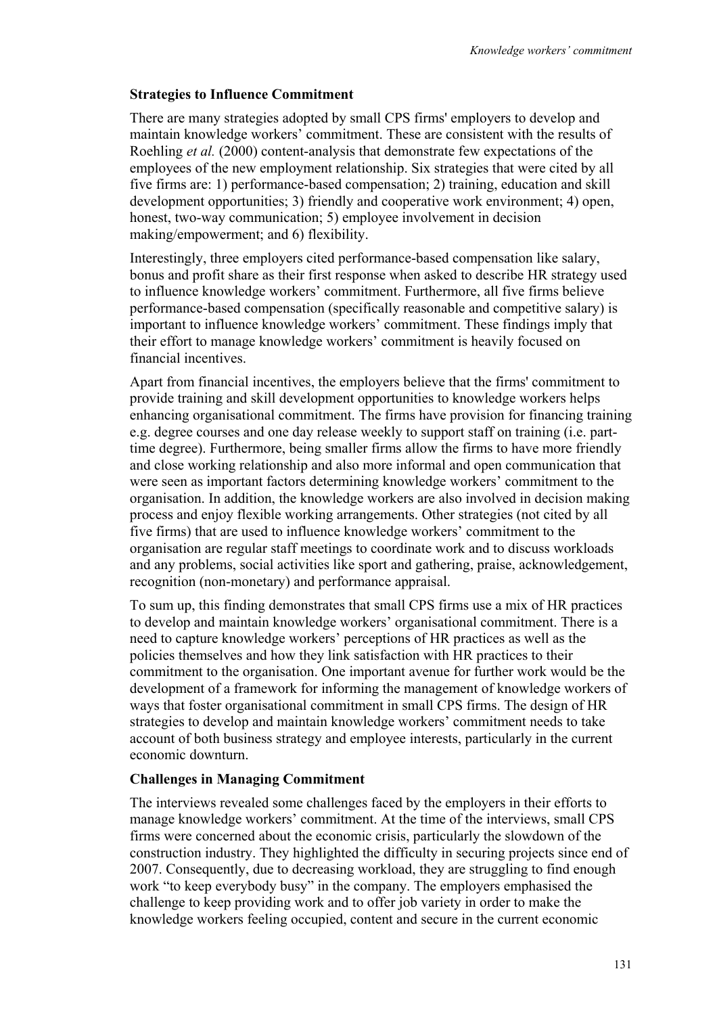#### **Strategies to Influence Commitment**

There are many strategies adopted by small CPS firms' employers to develop and maintain knowledge workers' commitment. These are consistent with the results of Roehling *et al.* (2000) content-analysis that demonstrate few expectations of the employees of the new employment relationship. Six strategies that were cited by all five firms are: 1) performance-based compensation; 2) training, education and skill development opportunities; 3) friendly and cooperative work environment; 4) open, honest, two-way communication; 5) employee involvement in decision making/empowerment; and 6) flexibility.

Interestingly, three employers cited performance-based compensation like salary, bonus and profit share as their first response when asked to describe HR strategy used to influence knowledge workers' commitment. Furthermore, all five firms believe performance-based compensation (specifically reasonable and competitive salary) is important to influence knowledge workers' commitment. These findings imply that their effort to manage knowledge workers' commitment is heavily focused on financial incentives.

Apart from financial incentives, the employers believe that the firms' commitment to provide training and skill development opportunities to knowledge workers helps enhancing organisational commitment. The firms have provision for financing training e.g. degree courses and one day release weekly to support staff on training (i.e. parttime degree). Furthermore, being smaller firms allow the firms to have more friendly and close working relationship and also more informal and open communication that were seen as important factors determining knowledge workers' commitment to the organisation. In addition, the knowledge workers are also involved in decision making process and enjoy flexible working arrangements. Other strategies (not cited by all five firms) that are used to influence knowledge workers' commitment to the organisation are regular staff meetings to coordinate work and to discuss workloads and any problems, social activities like sport and gathering, praise, acknowledgement, recognition (non-monetary) and performance appraisal.

To sum up, this finding demonstrates that small CPS firms use a mix of HR practices to develop and maintain knowledge workers' organisational commitment. There is a need to capture knowledge workers' perceptions of HR practices as well as the policies themselves and how they link satisfaction with HR practices to their commitment to the organisation. One important avenue for further work would be the development of a framework for informing the management of knowledge workers of ways that foster organisational commitment in small CPS firms. The design of HR strategies to develop and maintain knowledge workers' commitment needs to take account of both business strategy and employee interests, particularly in the current economic downturn.

#### **Challenges in Managing Commitment**

The interviews revealed some challenges faced by the employers in their efforts to manage knowledge workers' commitment. At the time of the interviews, small CPS firms were concerned about the economic crisis, particularly the slowdown of the construction industry. They highlighted the difficulty in securing projects since end of 2007. Consequently, due to decreasing workload, they are struggling to find enough work "to keep everybody busy" in the company. The employers emphasised the challenge to keep providing work and to offer job variety in order to make the knowledge workers feeling occupied, content and secure in the current economic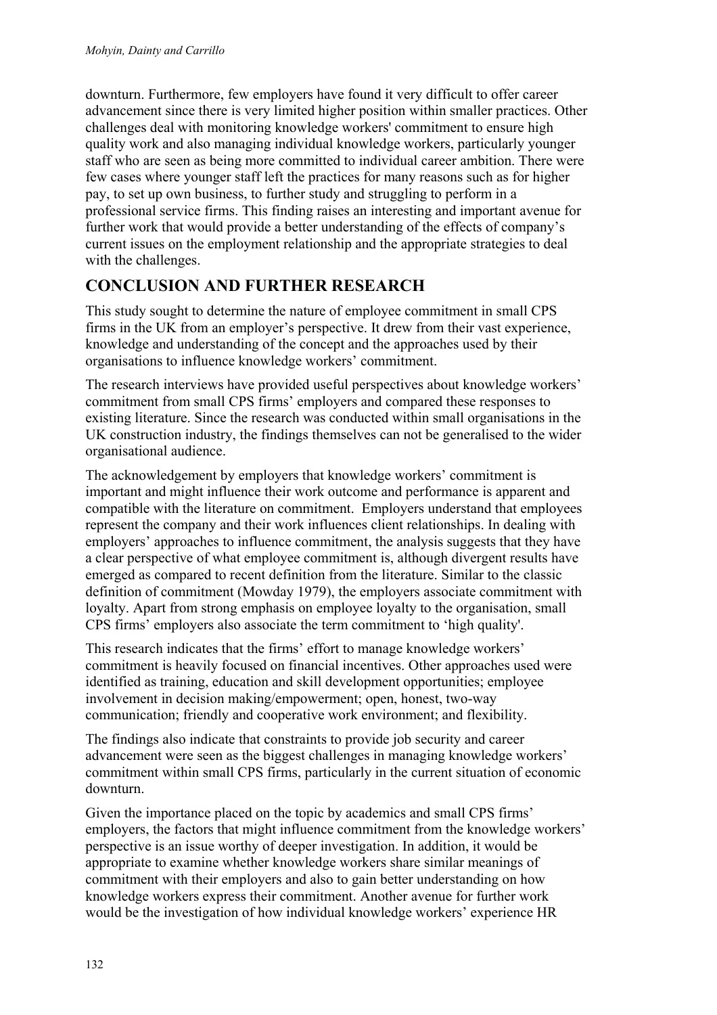downturn. Furthermore, few employers have found it very difficult to offer career advancement since there is very limited higher position within smaller practices. Other challenges deal with monitoring knowledge workers' commitment to ensure high quality work and also managing individual knowledge workers, particularly younger staff who are seen as being more committed to individual career ambition. There were few cases where younger staff left the practices for many reasons such as for higher pay, to set up own business, to further study and struggling to perform in a professional service firms. This finding raises an interesting and important avenue for further work that would provide a better understanding of the effects of company's current issues on the employment relationship and the appropriate strategies to deal with the challenges.

## **CONCLUSION AND FURTHER RESEARCH**

This study sought to determine the nature of employee commitment in small CPS firms in the UK from an employer's perspective. It drew from their vast experience, knowledge and understanding of the concept and the approaches used by their organisations to influence knowledge workers' commitment.

The research interviews have provided useful perspectives about knowledge workers' commitment from small CPS firms' employers and compared these responses to existing literature. Since the research was conducted within small organisations in the UK construction industry, the findings themselves can not be generalised to the wider organisational audience.

The acknowledgement by employers that knowledge workers' commitment is important and might influence their work outcome and performance is apparent and compatible with the literature on commitment. Employers understand that employees represent the company and their work influences client relationships. In dealing with employers' approaches to influence commitment, the analysis suggests that they have a clear perspective of what employee commitment is, although divergent results have emerged as compared to recent definition from the literature. Similar to the classic definition of commitment (Mowday 1979), the employers associate commitment with loyalty. Apart from strong emphasis on employee loyalty to the organisation, small CPS firms' employers also associate the term commitment to 'high quality'.

This research indicates that the firms' effort to manage knowledge workers' commitment is heavily focused on financial incentives. Other approaches used were identified as training, education and skill development opportunities; employee involvement in decision making/empowerment; open, honest, two-way communication; friendly and cooperative work environment; and flexibility.

The findings also indicate that constraints to provide job security and career advancement were seen as the biggest challenges in managing knowledge workers' commitment within small CPS firms, particularly in the current situation of economic downturn.

Given the importance placed on the topic by academics and small CPS firms' employers, the factors that might influence commitment from the knowledge workers' perspective is an issue worthy of deeper investigation. In addition, it would be appropriate to examine whether knowledge workers share similar meanings of commitment with their employers and also to gain better understanding on how knowledge workers express their commitment. Another avenue for further work would be the investigation of how individual knowledge workers' experience HR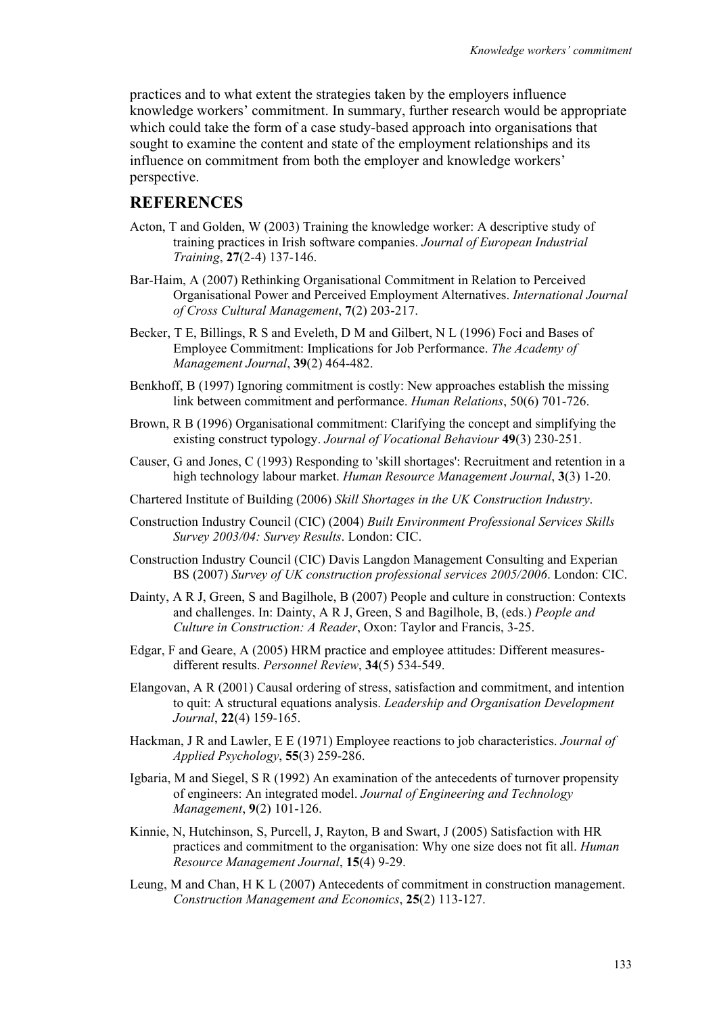practices and to what extent the strategies taken by the employers influence knowledge workers' commitment. In summary, further research would be appropriate which could take the form of a case study-based approach into organisations that sought to examine the content and state of the employment relationships and its influence on commitment from both the employer and knowledge workers' perspective.

### **REFERENCES**

- Acton, T and Golden, W (2003) Training the knowledge worker: A descriptive study of training practices in Irish software companies. *Journal of European Industrial Training*, **27**(2-4) 137-146.
- Bar-Haim, A (2007) Rethinking Organisational Commitment in Relation to Perceived Organisational Power and Perceived Employment Alternatives. *International Journal of Cross Cultural Management*, **7**(2) 203-217.
- Becker, T E, Billings, R S and Eveleth, D M and Gilbert, N L (1996) Foci and Bases of Employee Commitment: Implications for Job Performance. *The Academy of Management Journal*, **39**(2) 464-482.
- Benkhoff, B (1997) Ignoring commitment is costly: New approaches establish the missing link between commitment and performance. *Human Relations*, 50(6) 701-726.
- Brown, R B (1996) Organisational commitment: Clarifying the concept and simplifying the existing construct typology. *Journal of Vocational Behaviour* **49**(3) 230-251.
- Causer, G and Jones, C (1993) Responding to 'skill shortages': Recruitment and retention in a high technology labour market. *Human Resource Management Journal*, **3**(3) 1-20.
- Chartered Institute of Building (2006) *Skill Shortages in the UK Construction Industry*.
- Construction Industry Council (CIC) (2004) *Built Environment Professional Services Skills Survey 2003/04: Survey Results*. London: CIC.
- Construction Industry Council (CIC) Davis Langdon Management Consulting and Experian BS (2007) *Survey of UK construction professional services 2005/2006*. London: CIC.
- Dainty, A R J, Green, S and Bagilhole, B (2007) People and culture in construction: Contexts and challenges. In: Dainty, A R J, Green, S and Bagilhole, B, (eds.) *People and Culture in Construction: A Reader*, Oxon: Taylor and Francis, 3-25.
- Edgar, F and Geare, A (2005) HRM practice and employee attitudes: Different measuresdifferent results. *Personnel Review*, **34**(5) 534-549.
- Elangovan, A R (2001) Causal ordering of stress, satisfaction and commitment, and intention to quit: A structural equations analysis. *Leadership and Organisation Development Journal*, **22**(4) 159-165.
- Hackman, J R and Lawler, E E (1971) Employee reactions to job characteristics. *Journal of Applied Psychology*, **55**(3) 259-286.
- Igbaria, M and Siegel, S R (1992) An examination of the antecedents of turnover propensity of engineers: An integrated model. *Journal of Engineering and Technology Management*, **9**(2) 101-126.
- Kinnie, N, Hutchinson, S, Purcell, J, Rayton, B and Swart, J (2005) Satisfaction with HR practices and commitment to the organisation: Why one size does not fit all. *Human Resource Management Journal*, **15**(4) 9-29.
- Leung, M and Chan, H K L (2007) Antecedents of commitment in construction management. *Construction Management and Economics*, **25**(2) 113-127.